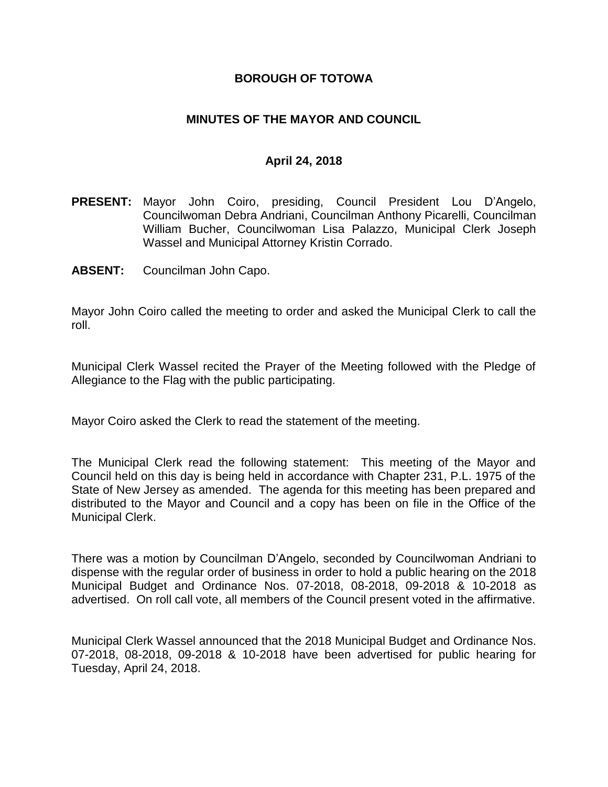#### **BOROUGH OF TOTOWA**

### **MINUTES OF THE MAYOR AND COUNCIL**

#### **April 24, 2018**

- **PRESENT:** Mayor John Coiro, presiding, Council President Lou D'Angelo, Councilwoman Debra Andriani, Councilman Anthony Picarelli, Councilman William Bucher, Councilwoman Lisa Palazzo, Municipal Clerk Joseph Wassel and Municipal Attorney Kristin Corrado.
- **ABSENT:** Councilman John Capo.

Mayor John Coiro called the meeting to order and asked the Municipal Clerk to call the roll.

Municipal Clerk Wassel recited the Prayer of the Meeting followed with the Pledge of Allegiance to the Flag with the public participating.

Mayor Coiro asked the Clerk to read the statement of the meeting.

The Municipal Clerk read the following statement: This meeting of the Mayor and Council held on this day is being held in accordance with Chapter 231, P.L. 1975 of the State of New Jersey as amended. The agenda for this meeting has been prepared and distributed to the Mayor and Council and a copy has been on file in the Office of the Municipal Clerk.

There was a motion by Councilman D'Angelo, seconded by Councilwoman Andriani to dispense with the regular order of business in order to hold a public hearing on the 2018 Municipal Budget and Ordinance Nos. 07-2018, 08-2018, 09-2018 & 10-2018 as advertised. On roll call vote, all members of the Council present voted in the affirmative.

Municipal Clerk Wassel announced that the 2018 Municipal Budget and Ordinance Nos. 07-2018, 08-2018, 09-2018 & 10-2018 have been advertised for public hearing for Tuesday, April 24, 2018.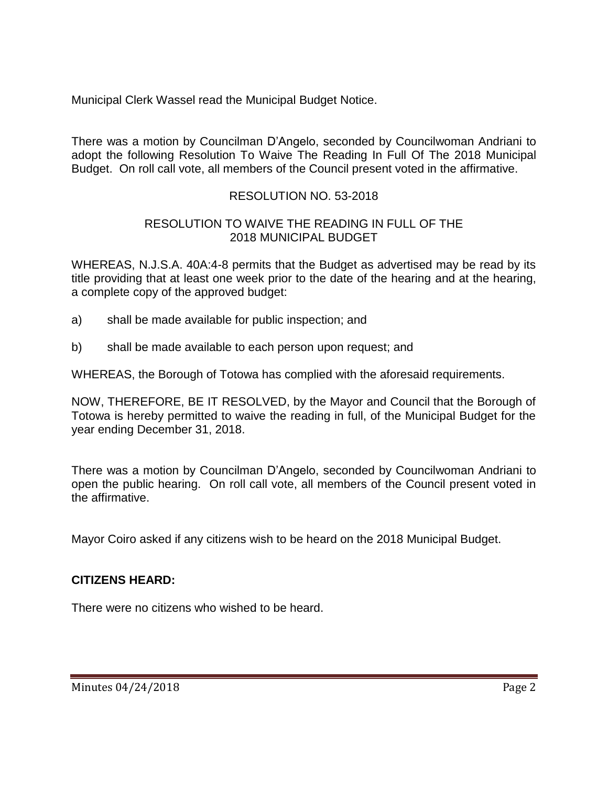Municipal Clerk Wassel read the Municipal Budget Notice.

There was a motion by Councilman D'Angelo, seconded by Councilwoman Andriani to adopt the following Resolution To Waive The Reading In Full Of The 2018 Municipal Budget. On roll call vote, all members of the Council present voted in the affirmative.

# RESOLUTION NO. 53-2018

### RESOLUTION TO WAIVE THE READING IN FULL OF THE 2018 MUNICIPAL BUDGET

WHEREAS, N.J.S.A. 40A:4-8 permits that the Budget as advertised may be read by its title providing that at least one week prior to the date of the hearing and at the hearing, a complete copy of the approved budget:

- a) shall be made available for public inspection; and
- b) shall be made available to each person upon request; and

WHEREAS, the Borough of Totowa has complied with the aforesaid requirements.

NOW, THEREFORE, BE IT RESOLVED, by the Mayor and Council that the Borough of Totowa is hereby permitted to waive the reading in full, of the Municipal Budget for the year ending December 31, 2018.

There was a motion by Councilman D'Angelo, seconded by Councilwoman Andriani to open the public hearing. On roll call vote, all members of the Council present voted in the affirmative.

Mayor Coiro asked if any citizens wish to be heard on the 2018 Municipal Budget.

# **CITIZENS HEARD:**

There were no citizens who wished to be heard.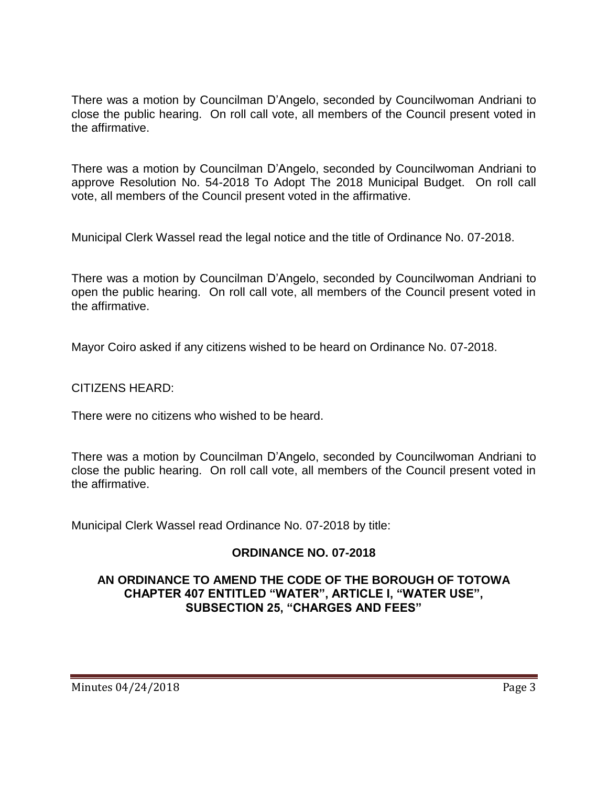There was a motion by Councilman D'Angelo, seconded by Councilwoman Andriani to close the public hearing. On roll call vote, all members of the Council present voted in the affirmative.

There was a motion by Councilman D'Angelo, seconded by Councilwoman Andriani to approve Resolution No. 54-2018 To Adopt The 2018 Municipal Budget. On roll call vote, all members of the Council present voted in the affirmative.

Municipal Clerk Wassel read the legal notice and the title of Ordinance No. 07-2018.

There was a motion by Councilman D'Angelo, seconded by Councilwoman Andriani to open the public hearing. On roll call vote, all members of the Council present voted in the affirmative.

Mayor Coiro asked if any citizens wished to be heard on Ordinance No. 07-2018.

CITIZENS HEARD:

There were no citizens who wished to be heard.

There was a motion by Councilman D'Angelo, seconded by Councilwoman Andriani to close the public hearing. On roll call vote, all members of the Council present voted in the affirmative.

Municipal Clerk Wassel read Ordinance No. 07-2018 by title:

# **ORDINANCE NO. 07-2018**

### **AN ORDINANCE TO AMEND THE CODE OF THE BOROUGH OF TOTOWA CHAPTER 407 ENTITLED "WATER", ARTICLE I, "WATER USE", SUBSECTION 25, "CHARGES AND FEES"**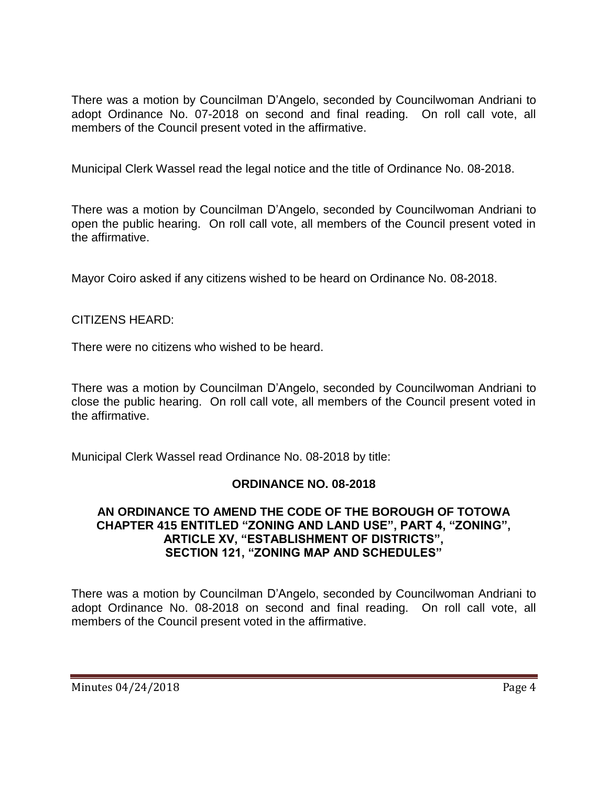There was a motion by Councilman D'Angelo, seconded by Councilwoman Andriani to adopt Ordinance No. 07-2018 on second and final reading. On roll call vote, all members of the Council present voted in the affirmative.

Municipal Clerk Wassel read the legal notice and the title of Ordinance No. 08-2018.

There was a motion by Councilman D'Angelo, seconded by Councilwoman Andriani to open the public hearing. On roll call vote, all members of the Council present voted in the affirmative.

Mayor Coiro asked if any citizens wished to be heard on Ordinance No. 08-2018.

# CITIZENS HEARD:

There were no citizens who wished to be heard.

There was a motion by Councilman D'Angelo, seconded by Councilwoman Andriani to close the public hearing. On roll call vote, all members of the Council present voted in the affirmative.

Municipal Clerk Wassel read Ordinance No. 08-2018 by title:

# **ORDINANCE NO. 08-2018**

#### **AN ORDINANCE TO AMEND THE CODE OF THE BOROUGH OF TOTOWA CHAPTER 415 ENTITLED "ZONING AND LAND USE", PART 4, "ZONING", ARTICLE XV, "ESTABLISHMENT OF DISTRICTS", SECTION 121, "ZONING MAP AND SCHEDULES"**

There was a motion by Councilman D'Angelo, seconded by Councilwoman Andriani to adopt Ordinance No. 08-2018 on second and final reading. On roll call vote, all members of the Council present voted in the affirmative.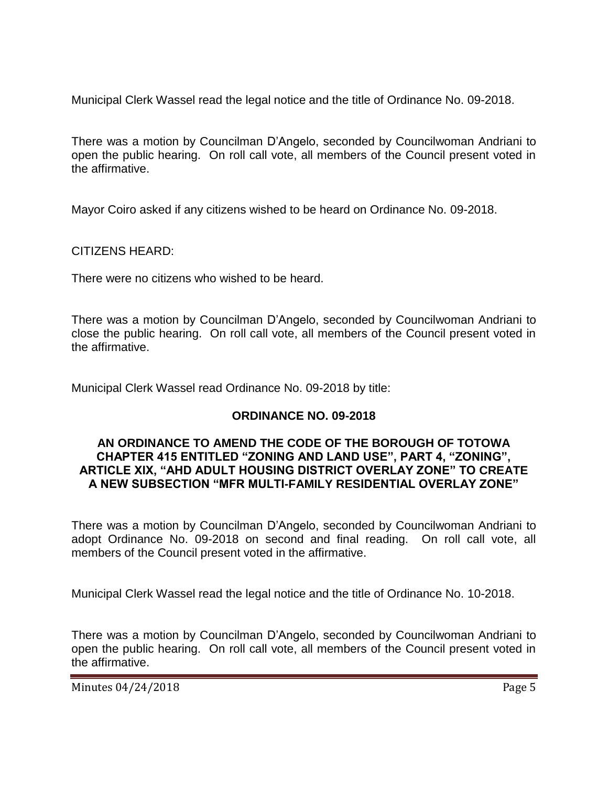Municipal Clerk Wassel read the legal notice and the title of Ordinance No. 09-2018.

There was a motion by Councilman D'Angelo, seconded by Councilwoman Andriani to open the public hearing. On roll call vote, all members of the Council present voted in the affirmative.

Mayor Coiro asked if any citizens wished to be heard on Ordinance No. 09-2018.

CITIZENS HEARD:

There were no citizens who wished to be heard.

There was a motion by Councilman D'Angelo, seconded by Councilwoman Andriani to close the public hearing. On roll call vote, all members of the Council present voted in the affirmative.

Municipal Clerk Wassel read Ordinance No. 09-2018 by title:

# **ORDINANCE NO. 09-2018**

#### **AN ORDINANCE TO AMEND THE CODE OF THE BOROUGH OF TOTOWA CHAPTER 415 ENTITLED "ZONING AND LAND USE", PART 4, "ZONING", ARTICLE XIX, "AHD ADULT HOUSING DISTRICT OVERLAY ZONE" TO CREATE A NEW SUBSECTION "MFR MULTI-FAMILY RESIDENTIAL OVERLAY ZONE"**

There was a motion by Councilman D'Angelo, seconded by Councilwoman Andriani to adopt Ordinance No. 09-2018 on second and final reading. On roll call vote, all members of the Council present voted in the affirmative.

Municipal Clerk Wassel read the legal notice and the title of Ordinance No. 10-2018.

There was a motion by Councilman D'Angelo, seconded by Councilwoman Andriani to open the public hearing. On roll call vote, all members of the Council present voted in the affirmative.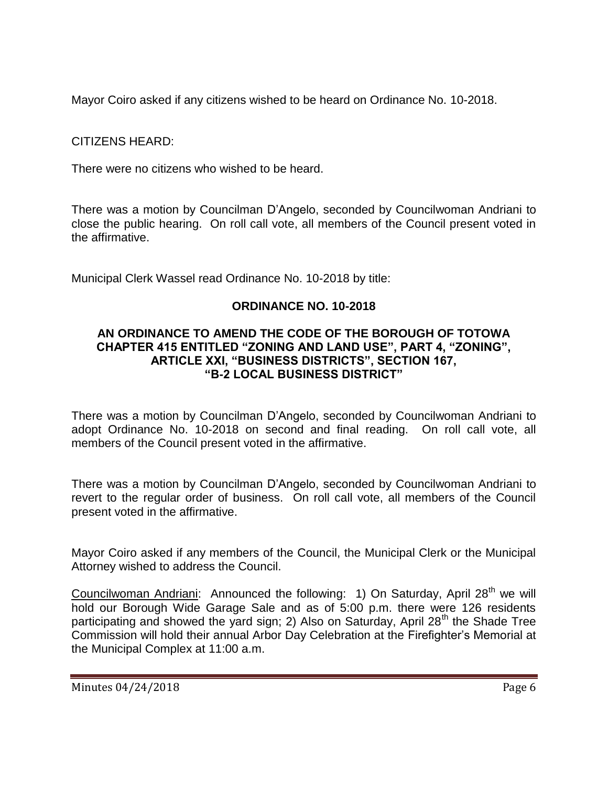Mayor Coiro asked if any citizens wished to be heard on Ordinance No. 10-2018.

CITIZENS HEARD:

There were no citizens who wished to be heard.

There was a motion by Councilman D'Angelo, seconded by Councilwoman Andriani to close the public hearing. On roll call vote, all members of the Council present voted in the affirmative.

Municipal Clerk Wassel read Ordinance No. 10-2018 by title:

# **ORDINANCE NO. 10-2018**

#### **AN ORDINANCE TO AMEND THE CODE OF THE BOROUGH OF TOTOWA CHAPTER 415 ENTITLED "ZONING AND LAND USE", PART 4, "ZONING", ARTICLE XXI, "BUSINESS DISTRICTS", SECTION 167, "B-2 LOCAL BUSINESS DISTRICT"**

There was a motion by Councilman D'Angelo, seconded by Councilwoman Andriani to adopt Ordinance No. 10-2018 on second and final reading. On roll call vote, all members of the Council present voted in the affirmative.

There was a motion by Councilman D'Angelo, seconded by Councilwoman Andriani to revert to the regular order of business. On roll call vote, all members of the Council present voted in the affirmative.

Mayor Coiro asked if any members of the Council, the Municipal Clerk or the Municipal Attorney wished to address the Council.

Councilwoman Andriani: Announced the following: 1) On Saturday, April 28<sup>th</sup> we will hold our Borough Wide Garage Sale and as of 5:00 p.m. there were 126 residents participating and showed the yard sign; 2) Also on Saturday, April  $28<sup>th</sup>$  the Shade Tree Commission will hold their annual Arbor Day Celebration at the Firefighter's Memorial at the Municipal Complex at 11:00 a.m.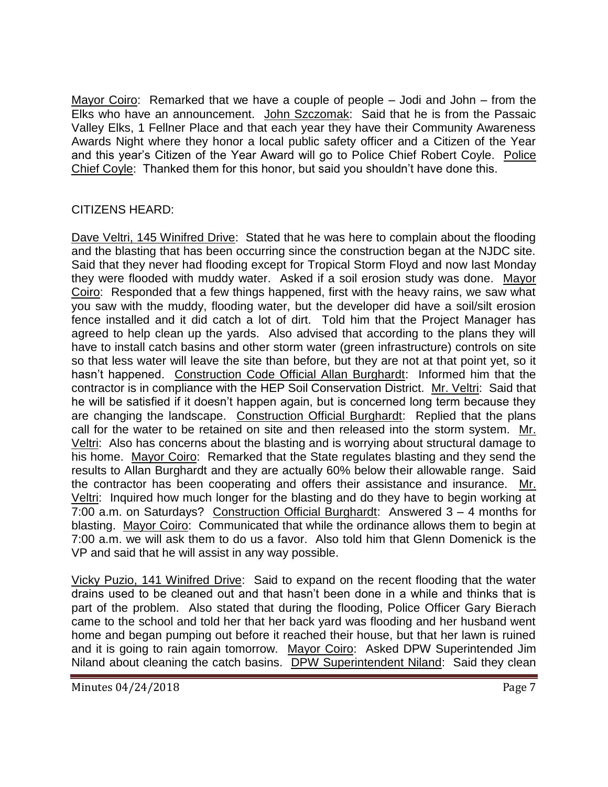Mayor Coiro: Remarked that we have a couple of people – Jodi and John – from the Elks who have an announcement. John Szczomak: Said that he is from the Passaic Valley Elks, 1 Fellner Place and that each year they have their Community Awareness Awards Night where they honor a local public safety officer and a Citizen of the Year and this year's Citizen of the Year Award will go to Police Chief Robert Coyle. Police Chief Coyle: Thanked them for this honor, but said you shouldn't have done this.

# CITIZENS HEARD:

Dave Veltri, 145 Winifred Drive: Stated that he was here to complain about the flooding and the blasting that has been occurring since the construction began at the NJDC site. Said that they never had flooding except for Tropical Storm Floyd and now last Monday they were flooded with muddy water. Asked if a soil erosion study was done. Mayor Coiro: Responded that a few things happened, first with the heavy rains, we saw what you saw with the muddy, flooding water, but the developer did have a soil/silt erosion fence installed and it did catch a lot of dirt. Told him that the Project Manager has agreed to help clean up the yards. Also advised that according to the plans they will have to install catch basins and other storm water (green infrastructure) controls on site so that less water will leave the site than before, but they are not at that point yet, so it hasn't happened. Construction Code Official Allan Burghardt: Informed him that the contractor is in compliance with the HEP Soil Conservation District. Mr. Veltri: Said that he will be satisfied if it doesn't happen again, but is concerned long term because they are changing the landscape. Construction Official Burghardt: Replied that the plans call for the water to be retained on site and then released into the storm system. Mr. Veltri: Also has concerns about the blasting and is worrying about structural damage to his home. Mayor Coiro: Remarked that the State regulates blasting and they send the results to Allan Burghardt and they are actually 60% below their allowable range. Said the contractor has been cooperating and offers their assistance and insurance. Mr. Veltri: Inquired how much longer for the blasting and do they have to begin working at 7:00 a.m. on Saturdays? Construction Official Burghardt: Answered 3 – 4 months for blasting. Mayor Coiro: Communicated that while the ordinance allows them to begin at 7:00 a.m. we will ask them to do us a favor. Also told him that Glenn Domenick is the VP and said that he will assist in any way possible.

Vicky Puzio, 141 Winifred Drive: Said to expand on the recent flooding that the water drains used to be cleaned out and that hasn't been done in a while and thinks that is part of the problem. Also stated that during the flooding, Police Officer Gary Bierach came to the school and told her that her back yard was flooding and her husband went home and began pumping out before it reached their house, but that her lawn is ruined and it is going to rain again tomorrow. Mayor Coiro: Asked DPW Superintended Jim Niland about cleaning the catch basins. DPW Superintendent Niland: Said they clean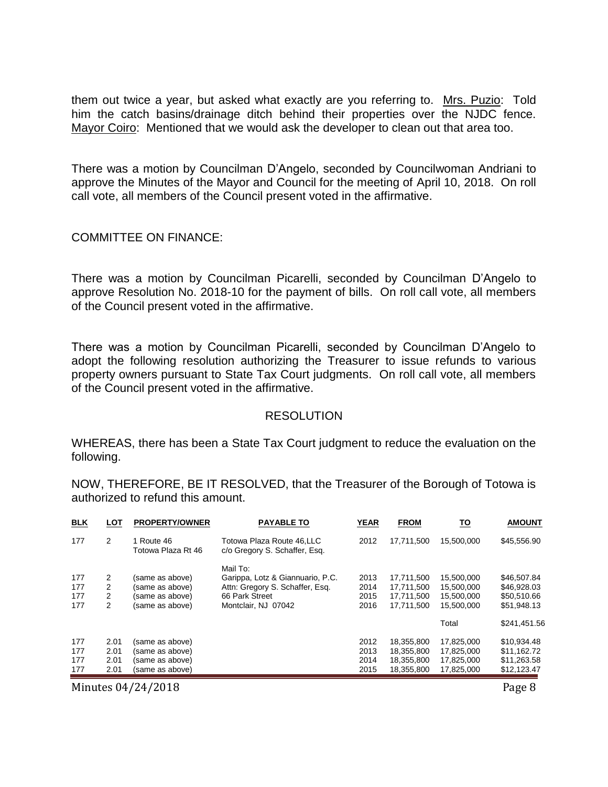them out twice a year, but asked what exactly are you referring to. Mrs. Puzio: Told him the catch basins/drainage ditch behind their properties over the NJDC fence. Mayor Coiro: Mentioned that we would ask the developer to clean out that area too.

There was a motion by Councilman D'Angelo, seconded by Councilwoman Andriani to approve the Minutes of the Mayor and Council for the meeting of April 10, 2018. On roll call vote, all members of the Council present voted in the affirmative.

#### COMMITTEE ON FINANCE:

There was a motion by Councilman Picarelli, seconded by Councilman D'Angelo to approve Resolution No. 2018-10 for the payment of bills. On roll call vote, all members of the Council present voted in the affirmative.

There was a motion by Councilman Picarelli, seconded by Councilman D'Angelo to adopt the following resolution authorizing the Treasurer to issue refunds to various property owners pursuant to State Tax Court judgments. On roll call vote, all members of the Council present voted in the affirmative.

#### **RESOLUTION**

WHEREAS, there has been a State Tax Court judgment to reduce the evaluation on the following.

NOW, THEREFORE, BE IT RESOLVED, that the Treasurer of the Borough of Totowa is authorized to refund this amount.

| <b>BLK</b>               | LOT                          | <b>PROPERTY/OWNER</b>                                                    | <b>PAYABLE TO</b>                                                                                                        | YEAR                         | <b>FROM</b>                                          | <u> 10</u>                                           | <b>AMOUNT</b>                                            |
|--------------------------|------------------------------|--------------------------------------------------------------------------|--------------------------------------------------------------------------------------------------------------------------|------------------------------|------------------------------------------------------|------------------------------------------------------|----------------------------------------------------------|
| 177                      | 2                            | 1 Route 46<br>Totowa Plaza Rt 46                                         | Totowa Plaza Route 46.LLC<br>c/o Gregory S. Schaffer, Esg.                                                               | 2012                         | 17.711.500                                           | 15,500,000                                           | \$45,556.90                                              |
| 177<br>177<br>177<br>177 | 2<br>2<br>2<br>2             | (same as above)<br>(same as above)<br>(same as above)<br>(same as above) | Mail To:<br>Garippa, Lotz & Giannuario, P.C.<br>Attn: Gregory S. Schaffer, Esq.<br>66 Park Street<br>Montclair, NJ 07042 | 2013<br>2014<br>2015<br>2016 | 17.711.500<br>17,711,500<br>17,711,500<br>17,711,500 | 15,500,000<br>15,500,000<br>15,500,000<br>15.500.000 | \$46,507.84<br>\$46,928.03<br>\$50,510.66<br>\$51,948.13 |
|                          |                              |                                                                          |                                                                                                                          |                              |                                                      | Total                                                | \$241,451.56                                             |
| 177<br>177<br>177<br>177 | 2.01<br>2.01<br>2.01<br>2.01 | (same as above)<br>(same as above)<br>(same as above)<br>(same as above) |                                                                                                                          | 2012<br>2013<br>2014<br>2015 | 18,355,800<br>18,355,800<br>18,355,800<br>18,355,800 | 17,825,000<br>17,825,000<br>17,825,000<br>17.825.000 | \$10,934.48<br>\$11,162.72<br>\$11,263.58<br>\$12,123.47 |

Minutes 04/24/2018 **Page 8**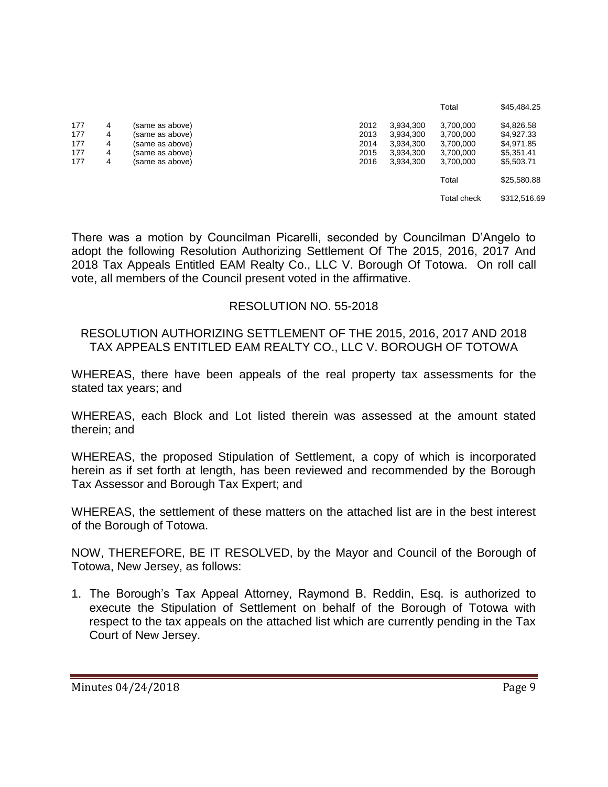|     |   |                 |      |           | Total       | \$45,484.25  |
|-----|---|-----------------|------|-----------|-------------|--------------|
| 177 | 4 | (same as above) | 2012 | 3.934.300 | 3,700,000   | \$4,826.58   |
| 177 | 4 | (same as above) | 2013 | 3,934,300 | 3,700,000   | \$4,927.33   |
| 177 | 4 | (same as above) | 2014 | 3.934.300 | 3.700.000   | \$4.971.85   |
| 177 | 4 | (same as above) | 2015 | 3,934,300 | 3,700,000   | \$5,351.41   |
| 177 | 4 | (same as above) | 2016 | 3.934.300 | 3,700,000   | \$5,503.71   |
|     |   |                 |      |           | Total       | \$25,580.88  |
|     |   |                 |      |           | Total check | \$312,516.69 |

There was a motion by Councilman Picarelli, seconded by Councilman D'Angelo to adopt the following Resolution Authorizing Settlement Of The 2015, 2016, 2017 And 2018 Tax Appeals Entitled EAM Realty Co., LLC V. Borough Of Totowa. On roll call vote, all members of the Council present voted in the affirmative.

#### RESOLUTION NO. 55-2018

#### RESOLUTION AUTHORIZING SETTLEMENT OF THE 2015, 2016, 2017 AND 2018 TAX APPEALS ENTITLED EAM REALTY CO., LLC V. BOROUGH OF TOTOWA

WHEREAS, there have been appeals of the real property tax assessments for the stated tax years; and

WHEREAS, each Block and Lot listed therein was assessed at the amount stated therein; and

WHEREAS, the proposed Stipulation of Settlement, a copy of which is incorporated herein as if set forth at length, has been reviewed and recommended by the Borough Tax Assessor and Borough Tax Expert; and

WHEREAS, the settlement of these matters on the attached list are in the best interest of the Borough of Totowa.

NOW, THEREFORE, BE IT RESOLVED, by the Mayor and Council of the Borough of Totowa, New Jersey, as follows:

1. The Borough's Tax Appeal Attorney, Raymond B. Reddin, Esq. is authorized to execute the Stipulation of Settlement on behalf of the Borough of Totowa with respect to the tax appeals on the attached list which are currently pending in the Tax Court of New Jersey.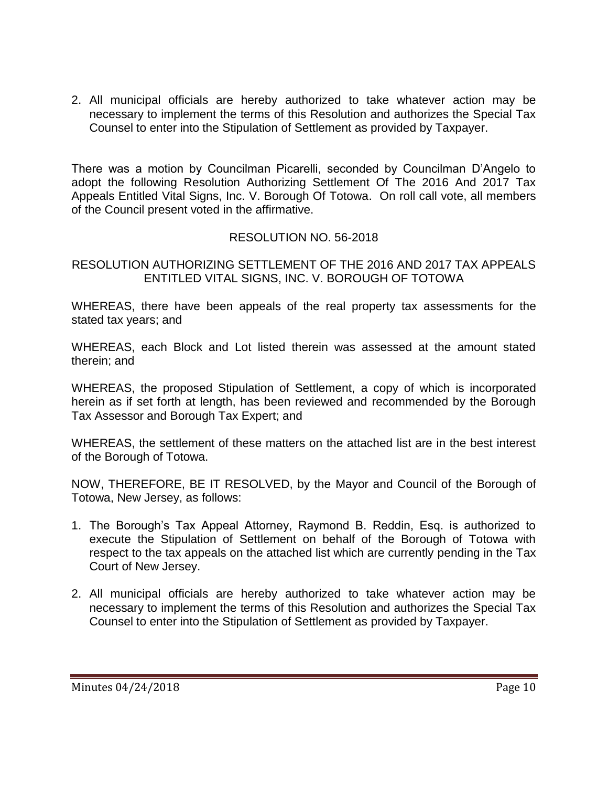2. All municipal officials are hereby authorized to take whatever action may be necessary to implement the terms of this Resolution and authorizes the Special Tax Counsel to enter into the Stipulation of Settlement as provided by Taxpayer.

There was a motion by Councilman Picarelli, seconded by Councilman D'Angelo to adopt the following Resolution Authorizing Settlement Of The 2016 And 2017 Tax Appeals Entitled Vital Signs, Inc. V. Borough Of Totowa. On roll call vote, all members of the Council present voted in the affirmative.

# RESOLUTION NO. 56-2018

RESOLUTION AUTHORIZING SETTLEMENT OF THE 2016 AND 2017 TAX APPEALS ENTITLED VITAL SIGNS, INC. V. BOROUGH OF TOTOWA

WHEREAS, there have been appeals of the real property tax assessments for the stated tax years; and

WHEREAS, each Block and Lot listed therein was assessed at the amount stated therein; and

WHEREAS, the proposed Stipulation of Settlement, a copy of which is incorporated herein as if set forth at length, has been reviewed and recommended by the Borough Tax Assessor and Borough Tax Expert; and

WHEREAS, the settlement of these matters on the attached list are in the best interest of the Borough of Totowa.

NOW, THEREFORE, BE IT RESOLVED, by the Mayor and Council of the Borough of Totowa, New Jersey, as follows:

- 1. The Borough's Tax Appeal Attorney, Raymond B. Reddin, Esq. is authorized to execute the Stipulation of Settlement on behalf of the Borough of Totowa with respect to the tax appeals on the attached list which are currently pending in the Tax Court of New Jersey.
- 2. All municipal officials are hereby authorized to take whatever action may be necessary to implement the terms of this Resolution and authorizes the Special Tax Counsel to enter into the Stipulation of Settlement as provided by Taxpayer.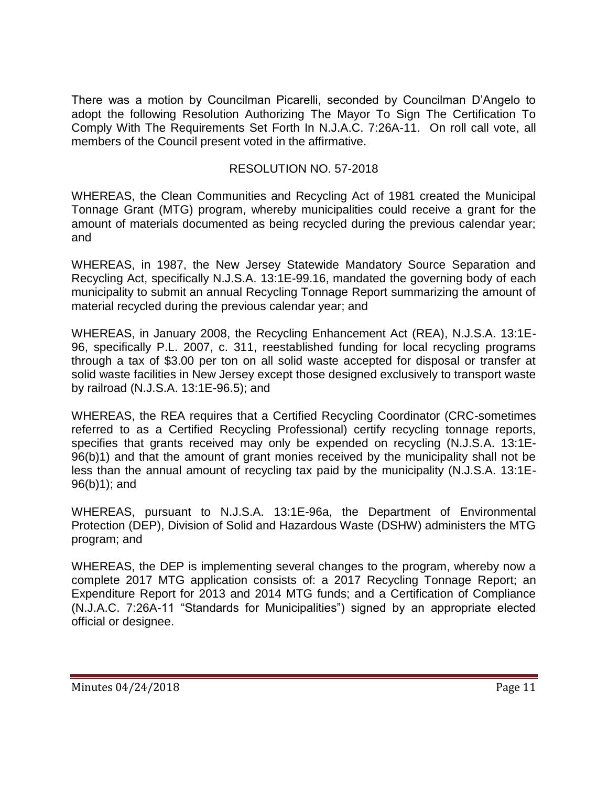There was a motion by Councilman Picarelli, seconded by Councilman D'Angelo to adopt the following Resolution Authorizing The Mayor To Sign The Certification To Comply With The Requirements Set Forth In N.J.A.C. 7:26A-11. On roll call vote, all members of the Council present voted in the affirmative.

### RESOLUTION NO. 57-2018

WHEREAS, the Clean Communities and Recycling Act of 1981 created the Municipal Tonnage Grant (MTG) program, whereby municipalities could receive a grant for the amount of materials documented as being recycled during the previous calendar year; and

WHEREAS, in 1987, the New Jersey Statewide Mandatory Source Separation and Recycling Act, specifically N.J.S.A. 13:1E-99.16, mandated the governing body of each municipality to submit an annual Recycling Tonnage Report summarizing the amount of material recycled during the previous calendar year; and

WHEREAS, in January 2008, the Recycling Enhancement Act (REA), N.J.S.A. 13:1E-96, specifically P.L. 2007, c. 311, reestablished funding for local recycling programs through a tax of \$3.00 per ton on all solid waste accepted for disposal or transfer at solid waste facilities in New Jersey except those designed exclusively to transport waste by railroad (N.J.S.A. 13:1E-96.5); and

WHEREAS, the REA requires that a Certified Recycling Coordinator (CRC-sometimes referred to as a Certified Recycling Professional) certify recycling tonnage reports, specifies that grants received may only be expended on recycling (N.J.S.A. 13:1E-96(b)1) and that the amount of grant monies received by the municipality shall not be less than the annual amount of recycling tax paid by the municipality (N.J.S.A. 13:1E-96(b)1); and

WHEREAS, pursuant to N.J.S.A. 13:1E-96a, the Department of Environmental Protection (DEP), Division of Solid and Hazardous Waste (DSHW) administers the MTG program; and

WHEREAS, the DEP is implementing several changes to the program, whereby now a complete 2017 MTG application consists of: a 2017 Recycling Tonnage Report; an Expenditure Report for 2013 and 2014 MTG funds; and a Certification of Compliance (N.J.A.C. 7:26A-11 "Standards for Municipalities") signed by an appropriate elected official or designee.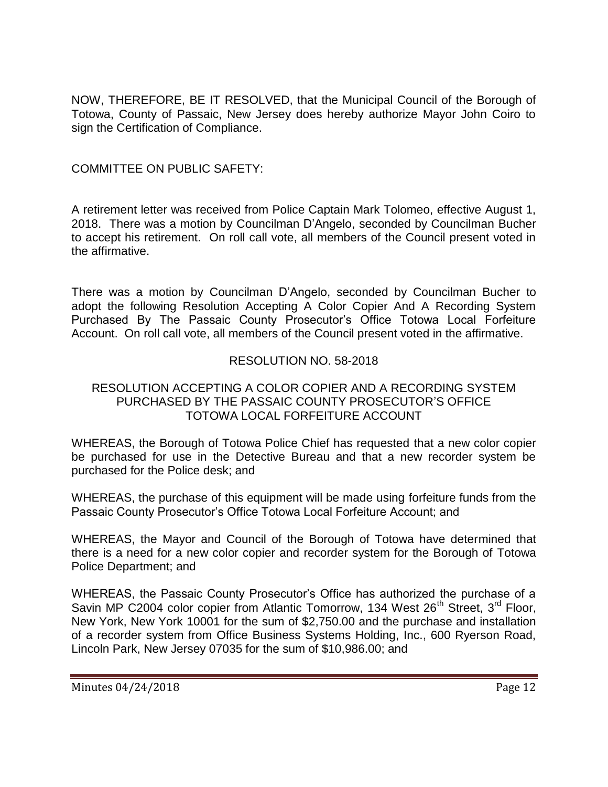NOW, THEREFORE, BE IT RESOLVED, that the Municipal Council of the Borough of Totowa, County of Passaic, New Jersey does hereby authorize Mayor John Coiro to sign the Certification of Compliance.

# COMMITTEE ON PUBLIC SAFETY:

A retirement letter was received from Police Captain Mark Tolomeo, effective August 1, 2018. There was a motion by Councilman D'Angelo, seconded by Councilman Bucher to accept his retirement. On roll call vote, all members of the Council present voted in the affirmative.

There was a motion by Councilman D'Angelo, seconded by Councilman Bucher to adopt the following Resolution Accepting A Color Copier And A Recording System Purchased By The Passaic County Prosecutor's Office Totowa Local Forfeiture Account. On roll call vote, all members of the Council present voted in the affirmative.

# RESOLUTION NO. 58-2018

### RESOLUTION ACCEPTING A COLOR COPIER AND A RECORDING SYSTEM PURCHASED BY THE PASSAIC COUNTY PROSECUTOR'S OFFICE TOTOWA LOCAL FORFEITURE ACCOUNT

WHEREAS, the Borough of Totowa Police Chief has requested that a new color copier be purchased for use in the Detective Bureau and that a new recorder system be purchased for the Police desk; and

WHEREAS, the purchase of this equipment will be made using forfeiture funds from the Passaic County Prosecutor's Office Totowa Local Forfeiture Account; and

WHEREAS, the Mayor and Council of the Borough of Totowa have determined that there is a need for a new color copier and recorder system for the Borough of Totowa Police Department; and

WHEREAS, the Passaic County Prosecutor's Office has authorized the purchase of a Savin MP C2004 color copier from Atlantic Tomorrow, 134 West 26<sup>th</sup> Street, 3<sup>rd</sup> Floor, New York, New York 10001 for the sum of \$2,750.00 and the purchase and installation of a recorder system from Office Business Systems Holding, Inc., 600 Ryerson Road, Lincoln Park, New Jersey 07035 for the sum of \$10,986.00; and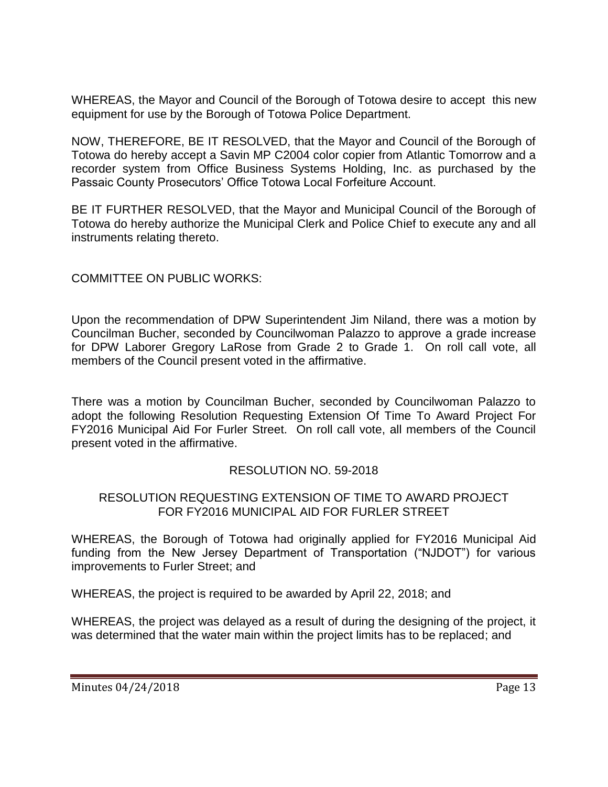WHEREAS, the Mayor and Council of the Borough of Totowa desire to accept this new equipment for use by the Borough of Totowa Police Department.

NOW, THEREFORE, BE IT RESOLVED, that the Mayor and Council of the Borough of Totowa do hereby accept a Savin MP C2004 color copier from Atlantic Tomorrow and a recorder system from Office Business Systems Holding, Inc. as purchased by the Passaic County Prosecutors' Office Totowa Local Forfeiture Account.

BE IT FURTHER RESOLVED, that the Mayor and Municipal Council of the Borough of Totowa do hereby authorize the Municipal Clerk and Police Chief to execute any and all instruments relating thereto.

# COMMITTEE ON PUBLIC WORKS:

Upon the recommendation of DPW Superintendent Jim Niland, there was a motion by Councilman Bucher, seconded by Councilwoman Palazzo to approve a grade increase for DPW Laborer Gregory LaRose from Grade 2 to Grade 1. On roll call vote, all members of the Council present voted in the affirmative.

There was a motion by Councilman Bucher, seconded by Councilwoman Palazzo to adopt the following Resolution Requesting Extension Of Time To Award Project For FY2016 Municipal Aid For Furler Street. On roll call vote, all members of the Council present voted in the affirmative.

# RESOLUTION NO. 59-2018

# RESOLUTION REQUESTING EXTENSION OF TIME TO AWARD PROJECT FOR FY2016 MUNICIPAL AID FOR FURLER STREET

WHEREAS, the Borough of Totowa had originally applied for FY2016 Municipal Aid funding from the New Jersey Department of Transportation ("NJDOT") for various improvements to Furler Street; and

WHEREAS, the project is required to be awarded by April 22, 2018; and

WHEREAS, the project was delayed as a result of during the designing of the project, it was determined that the water main within the project limits has to be replaced; and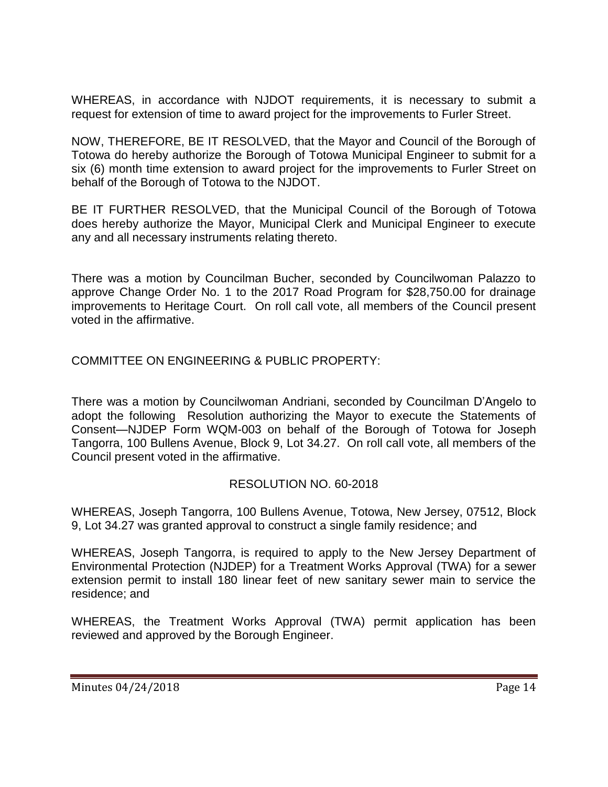WHEREAS, in accordance with NJDOT requirements, it is necessary to submit a request for extension of time to award project for the improvements to Furler Street.

NOW, THEREFORE, BE IT RESOLVED, that the Mayor and Council of the Borough of Totowa do hereby authorize the Borough of Totowa Municipal Engineer to submit for a six (6) month time extension to award project for the improvements to Furler Street on behalf of the Borough of Totowa to the NJDOT.

BE IT FURTHER RESOLVED, that the Municipal Council of the Borough of Totowa does hereby authorize the Mayor, Municipal Clerk and Municipal Engineer to execute any and all necessary instruments relating thereto.

There was a motion by Councilman Bucher, seconded by Councilwoman Palazzo to approve Change Order No. 1 to the 2017 Road Program for \$28,750.00 for drainage improvements to Heritage Court. On roll call vote, all members of the Council present voted in the affirmative.

# COMMITTEE ON ENGINEERING & PUBLIC PROPERTY:

There was a motion by Councilwoman Andriani, seconded by Councilman D'Angelo to adopt the following Resolution authorizing the Mayor to execute the Statements of Consent—NJDEP Form WQM-003 on behalf of the Borough of Totowa for Joseph Tangorra, 100 Bullens Avenue, Block 9, Lot 34.27. On roll call vote, all members of the Council present voted in the affirmative.

# RESOLUTION NO. 60-2018

WHEREAS, Joseph Tangorra, 100 Bullens Avenue, Totowa, New Jersey, 07512, Block 9, Lot 34.27 was granted approval to construct a single family residence; and

WHEREAS, Joseph Tangorra, is required to apply to the New Jersey Department of Environmental Protection (NJDEP) for a Treatment Works Approval (TWA) for a sewer extension permit to install 180 linear feet of new sanitary sewer main to service the residence; and

WHEREAS, the Treatment Works Approval (TWA) permit application has been reviewed and approved by the Borough Engineer.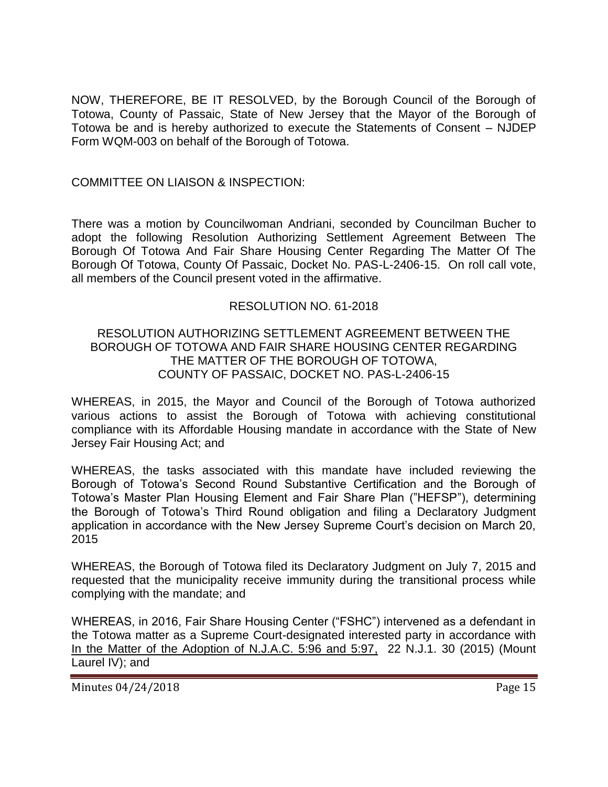NOW, THEREFORE, BE IT RESOLVED, by the Borough Council of the Borough of Totowa, County of Passaic, State of New Jersey that the Mayor of the Borough of Totowa be and is hereby authorized to execute the Statements of Consent – NJDEP Form WQM-003 on behalf of the Borough of Totowa.

### COMMITTEE ON LIAISON & INSPECTION:

There was a motion by Councilwoman Andriani, seconded by Councilman Bucher to adopt the following Resolution Authorizing Settlement Agreement Between The Borough Of Totowa And Fair Share Housing Center Regarding The Matter Of The Borough Of Totowa, County Of Passaic, Docket No. PAS-L-2406-15. On roll call vote, all members of the Council present voted in the affirmative.

### RESOLUTION NO. 61-2018

#### RESOLUTION AUTHORIZING SETTLEMENT AGREEMENT BETWEEN THE BOROUGH OF TOTOWA AND FAIR SHARE HOUSING CENTER REGARDING THE MATTER OF THE BOROUGH OF TOTOWA, COUNTY OF PASSAIC, DOCKET NO. PAS-L-2406-15

WHEREAS, in 2015, the Mayor and Council of the Borough of Totowa authorized various actions to assist the Borough of Totowa with achieving constitutional compliance with its Affordable Housing mandate in accordance with the State of New Jersey Fair Housing Act; and

WHEREAS, the tasks associated with this mandate have included reviewing the Borough of Totowa's Second Round Substantive Certification and the Borough of Totowa's Master Plan Housing Element and Fair Share Plan ("HEFSP"), determining the Borough of Totowa's Third Round obligation and filing a Declaratory Judgment application in accordance with the New Jersey Supreme Court's decision on March 20, 2015

WHEREAS, the Borough of Totowa filed its Declaratory Judgment on July 7, 2015 and requested that the municipality receive immunity during the transitional process while complying with the mandate; and

WHEREAS, in 2016, Fair Share Housing Center ("FSHC") intervened as a defendant in the Totowa matter as a Supreme Court-designated interested party in accordance with In the Matter of the Adoption of N.J.A.C. 5:96 and 5:97, 22 N.J.1. 30 (2015) (Mount Laurel IV); and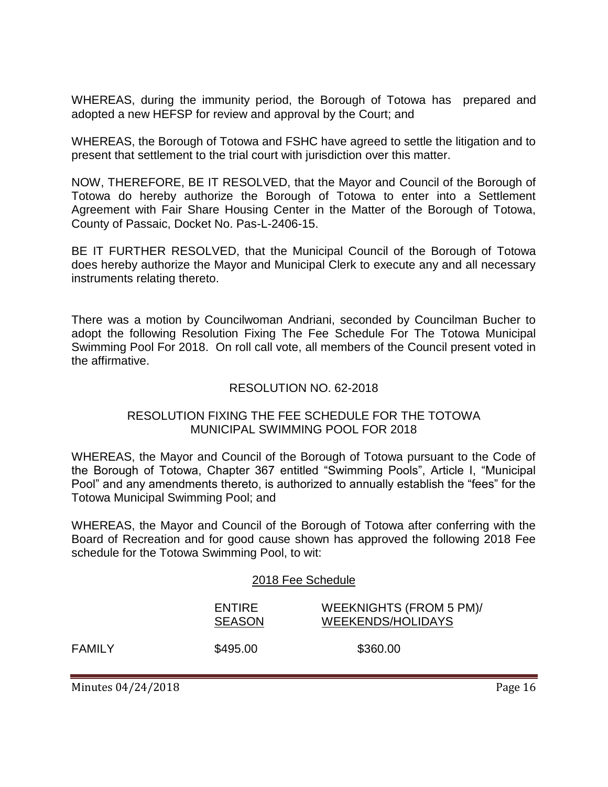WHEREAS, during the immunity period, the Borough of Totowa has prepared and adopted a new HEFSP for review and approval by the Court; and

WHEREAS, the Borough of Totowa and FSHC have agreed to settle the litigation and to present that settlement to the trial court with jurisdiction over this matter.

NOW, THEREFORE, BE IT RESOLVED, that the Mayor and Council of the Borough of Totowa do hereby authorize the Borough of Totowa to enter into a Settlement Agreement with Fair Share Housing Center in the Matter of the Borough of Totowa, County of Passaic, Docket No. Pas-L-2406-15.

BE IT FURTHER RESOLVED, that the Municipal Council of the Borough of Totowa does hereby authorize the Mayor and Municipal Clerk to execute any and all necessary instruments relating thereto.

There was a motion by Councilwoman Andriani, seconded by Councilman Bucher to adopt the following Resolution Fixing The Fee Schedule For The Totowa Municipal Swimming Pool For 2018. On roll call vote, all members of the Council present voted in the affirmative.

### RESOLUTION NO. 62-2018

### RESOLUTION FIXING THE FEE SCHEDULE FOR THE TOTOWA MUNICIPAL SWIMMING POOL FOR 2018

WHEREAS, the Mayor and Council of the Borough of Totowa pursuant to the Code of the Borough of Totowa, Chapter 367 entitled "Swimming Pools", Article I, "Municipal Pool" and any amendments thereto, is authorized to annually establish the "fees" for the Totowa Municipal Swimming Pool; and

WHEREAS, the Mayor and Council of the Borough of Totowa after conferring with the Board of Recreation and for good cause shown has approved the following 2018 Fee schedule for the Totowa Swimming Pool, to wit:

#### 2018 Fee Schedule

| ENTIRE        | WEEKNIGHTS (FROM 5 PM)/  |
|---------------|--------------------------|
| <b>SEASON</b> | <b>WEEKENDS/HOLIDAYS</b> |
| \$495.00      | \$360.00                 |

Minutes 04/24/2018 **Page 16** 

**FAMILY**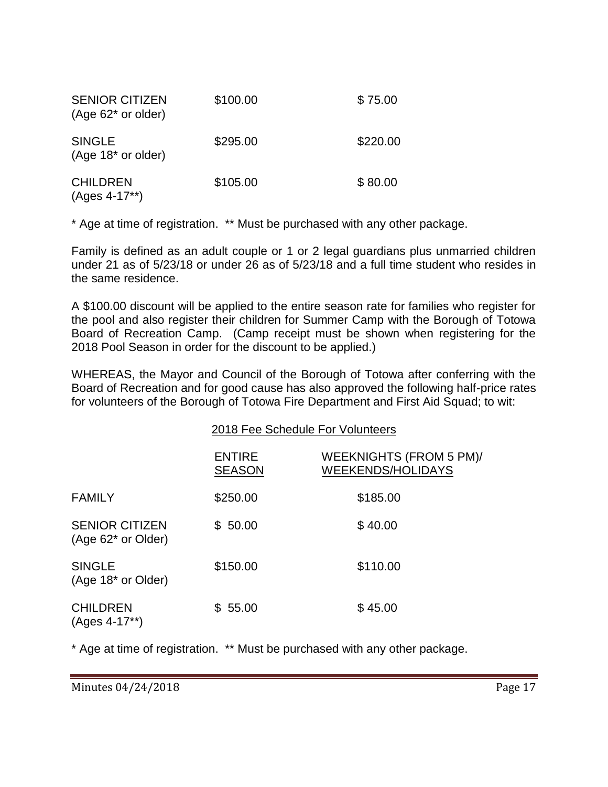| <b>SENIOR CITIZEN</b><br>$(Age 62^*$ or older)  | \$100.00 | \$75.00  |
|-------------------------------------------------|----------|----------|
| <b>SINGLE</b><br>(Age 18 <sup>*</sup> or older) | \$295.00 | \$220.00 |
| <b>CHILDREN</b><br>$(Ages 4-17**)$              | \$105.00 | \$80.00  |

\* Age at time of registration. \*\* Must be purchased with any other package.

Family is defined as an adult couple or 1 or 2 legal guardians plus unmarried children under 21 as of 5/23/18 or under 26 as of 5/23/18 and a full time student who resides in the same residence.

A \$100.00 discount will be applied to the entire season rate for families who register for the pool and also register their children for Summer Camp with the Borough of Totowa Board of Recreation Camp. (Camp receipt must be shown when registering for the 2018 Pool Season in order for the discount to be applied.)

WHEREAS, the Mayor and Council of the Borough of Totowa after conferring with the Board of Recreation and for good cause has also approved the following half-price rates for volunteers of the Borough of Totowa Fire Department and First Aid Squad; to wit:

|                                                 | 2018 Fee Schedule For Volunteers |                                                     |  |
|-------------------------------------------------|----------------------------------|-----------------------------------------------------|--|
|                                                 | <b>ENTIRE</b><br><b>SEASON</b>   | WEEKNIGHTS (FROM 5 PM)/<br><b>WEEKENDS/HOLIDAYS</b> |  |
| <b>FAMILY</b>                                   | \$250.00                         | \$185.00                                            |  |
| <b>SENIOR CITIZEN</b><br>(Age 62* or Older)     | \$50.00                          | \$40.00                                             |  |
| <b>SINGLE</b><br>(Age 18 <sup>*</sup> or Older) | \$150.00                         | \$110.00                                            |  |
| <b>CHILDREN</b><br>(Ages 4-17**)                | \$55.00                          | \$45.00                                             |  |

\* Age at time of registration. \*\* Must be purchased with any other package.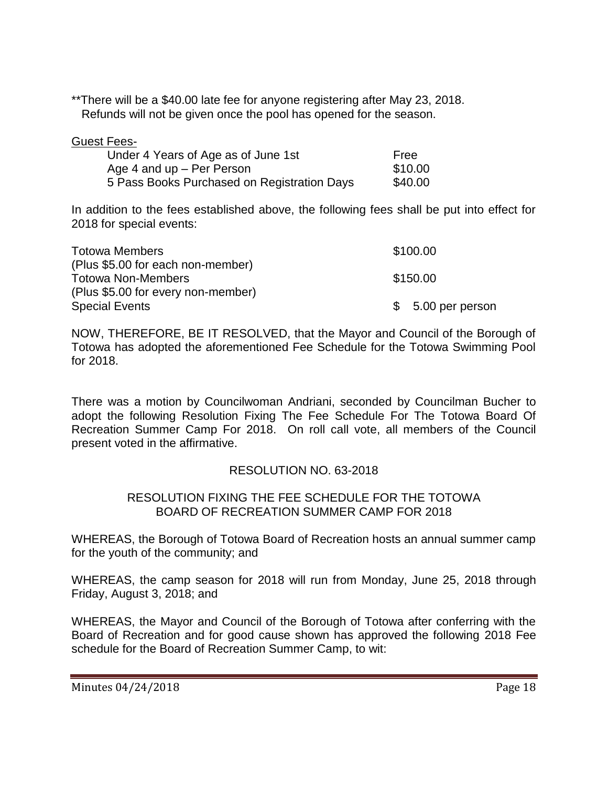\*\*There will be a \$40.00 late fee for anyone registering after May 23, 2018. Refunds will not be given once the pool has opened for the season.

| Guest Fer |  |
|-----------|--|
|           |  |

| Under 4 Years of Age as of June 1st         | Free    |
|---------------------------------------------|---------|
| Age 4 and up – Per Person                   | \$10.00 |
| 5 Pass Books Purchased on Registration Days | \$40.00 |

In addition to the fees established above, the following fees shall be put into effect for 2018 for special events:

| <b>Totowa Members</b>              | \$100.00           |
|------------------------------------|--------------------|
| (Plus \$5.00 for each non-member)  |                    |
| <b>Totowa Non-Members</b>          | \$150.00           |
| (Plus \$5.00 for every non-member) |                    |
| <b>Special Events</b>              | $$5.00$ per person |

NOW, THEREFORE, BE IT RESOLVED, that the Mayor and Council of the Borough of Totowa has adopted the aforementioned Fee Schedule for the Totowa Swimming Pool for 2018.

There was a motion by Councilwoman Andriani, seconded by Councilman Bucher to adopt the following Resolution Fixing The Fee Schedule For The Totowa Board Of Recreation Summer Camp For 2018. On roll call vote, all members of the Council present voted in the affirmative.

#### RESOLUTION NO. 63-2018

#### RESOLUTION FIXING THE FEE SCHEDULE FOR THE TOTOWA BOARD OF RECREATION SUMMER CAMP FOR 2018

WHEREAS, the Borough of Totowa Board of Recreation hosts an annual summer camp for the youth of the community; and

WHEREAS, the camp season for 2018 will run from Monday, June 25, 2018 through Friday, August 3, 2018; and

WHEREAS, the Mayor and Council of the Borough of Totowa after conferring with the Board of Recreation and for good cause shown has approved the following 2018 Fee schedule for the Board of Recreation Summer Camp, to wit: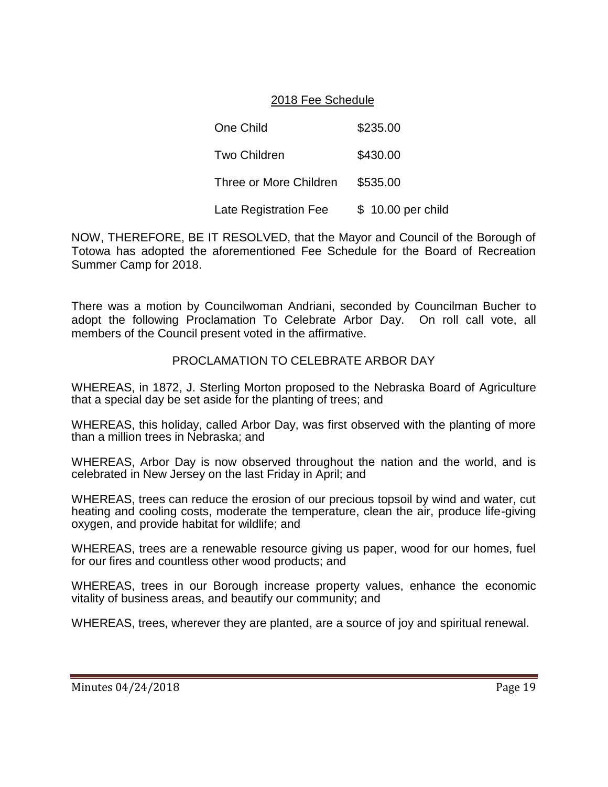# 2018 Fee Schedule

One Child **\$235.00** Two Children \$430.00 Three or More Children \$535.00 Late Registration Fee \$ 10.00 per child

NOW, THEREFORE, BE IT RESOLVED, that the Mayor and Council of the Borough of Totowa has adopted the aforementioned Fee Schedule for the Board of Recreation Summer Camp for 2018.

There was a motion by Councilwoman Andriani, seconded by Councilman Bucher to adopt the following Proclamation To Celebrate Arbor Day. On roll call vote, all members of the Council present voted in the affirmative.

# PROCLAMATION TO CELEBRATE ARBOR DAY

WHEREAS, in 1872, J. Sterling Morton proposed to the Nebraska Board of Agriculture that a special day be set aside for the planting of trees; and

WHEREAS, this holiday, called Arbor Day, was first observed with the planting of more than a million trees in Nebraska; and

WHEREAS, Arbor Day is now observed throughout the nation and the world, and is celebrated in New Jersey on the last Friday in April; and

WHEREAS, trees can reduce the erosion of our precious topsoil by wind and water, cut heating and cooling costs, moderate the temperature, clean the air, produce life-giving oxygen, and provide habitat for wildlife; and

WHEREAS, trees are a renewable resource giving us paper, wood for our homes, fuel for our fires and countless other wood products; and

WHEREAS, trees in our Borough increase property values, enhance the economic vitality of business areas, and beautify our community; and

WHEREAS, trees, wherever they are planted, are a source of joy and spiritual renewal.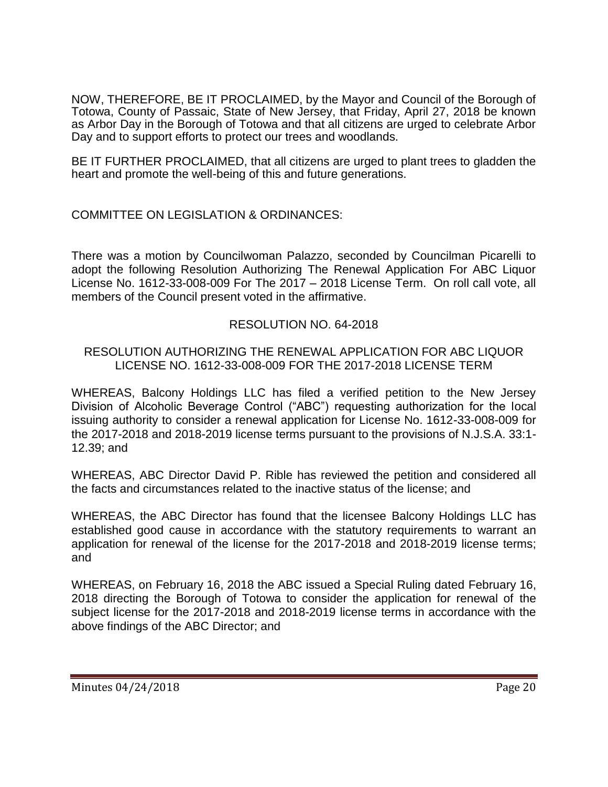NOW, THEREFORE, BE IT PROCLAIMED, by the Mayor and Council of the Borough of Totowa, County of Passaic, State of New Jersey, that Friday, April 27, 2018 be known as Arbor Day in the Borough of Totowa and that all citizens are urged to celebrate Arbor Day and to support efforts to protect our trees and woodlands.

BE IT FURTHER PROCLAIMED, that all citizens are urged to plant trees to gladden the heart and promote the well-being of this and future generations.

# COMMITTEE ON LEGISLATION & ORDINANCES:

There was a motion by Councilwoman Palazzo, seconded by Councilman Picarelli to adopt the following Resolution Authorizing The Renewal Application For ABC Liquor License No. 1612-33-008-009 For The 2017 – 2018 License Term. On roll call vote, all members of the Council present voted in the affirmative.

# RESOLUTION NO. 64-2018

### RESOLUTION AUTHORIZING THE RENEWAL APPLICATION FOR ABC LIQUOR LICENSE NO. 1612-33-008-009 FOR THE 2017-2018 LICENSE TERM

WHEREAS, Balcony Holdings LLC has filed a verified petition to the New Jersey Division of Alcoholic Beverage Control ("ABC") requesting authorization for the local issuing authority to consider a renewal application for License No. 1612-33-008-009 for the 2017-2018 and 2018-2019 license terms pursuant to the provisions of N.J.S.A. 33:1- 12.39; and

WHEREAS, ABC Director David P. Rible has reviewed the petition and considered all the facts and circumstances related to the inactive status of the license; and

WHEREAS, the ABC Director has found that the licensee Balcony Holdings LLC has established good cause in accordance with the statutory requirements to warrant an application for renewal of the license for the 2017-2018 and 2018-2019 license terms; and

WHEREAS, on February 16, 2018 the ABC issued a Special Ruling dated February 16, 2018 directing the Borough of Totowa to consider the application for renewal of the subject license for the 2017-2018 and 2018-2019 license terms in accordance with the above findings of the ABC Director; and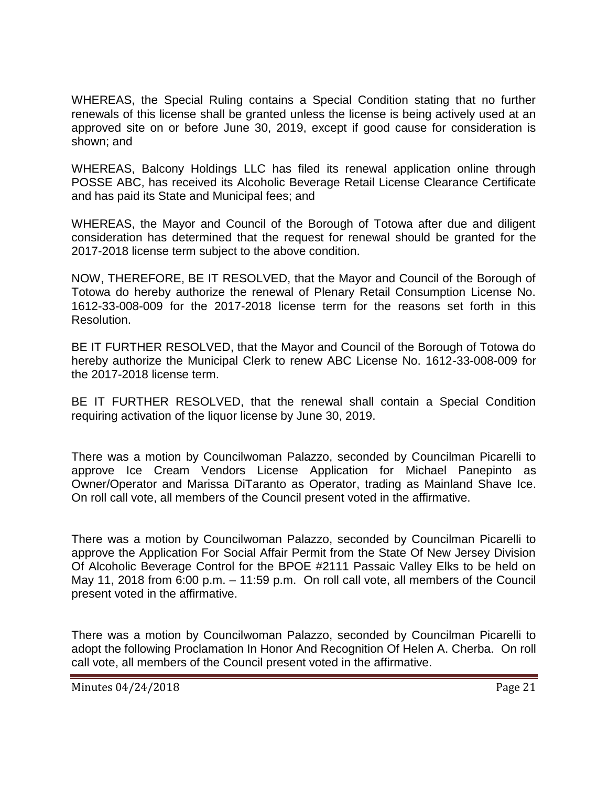WHEREAS, the Special Ruling contains a Special Condition stating that no further renewals of this license shall be granted unless the license is being actively used at an approved site on or before June 30, 2019, except if good cause for consideration is shown; and

WHEREAS, Balcony Holdings LLC has filed its renewal application online through POSSE ABC, has received its Alcoholic Beverage Retail License Clearance Certificate and has paid its State and Municipal fees; and

WHEREAS, the Mayor and Council of the Borough of Totowa after due and diligent consideration has determined that the request for renewal should be granted for the 2017-2018 license term subject to the above condition.

NOW, THEREFORE, BE IT RESOLVED, that the Mayor and Council of the Borough of Totowa do hereby authorize the renewal of Plenary Retail Consumption License No. 1612-33-008-009 for the 2017-2018 license term for the reasons set forth in this Resolution.

BE IT FURTHER RESOLVED, that the Mayor and Council of the Borough of Totowa do hereby authorize the Municipal Clerk to renew ABC License No. 1612-33-008-009 for the 2017-2018 license term.

BE IT FURTHER RESOLVED, that the renewal shall contain a Special Condition requiring activation of the liquor license by June 30, 2019.

There was a motion by Councilwoman Palazzo, seconded by Councilman Picarelli to approve Ice Cream Vendors License Application for Michael Panepinto as Owner/Operator and Marissa DiTaranto as Operator, trading as Mainland Shave Ice. On roll call vote, all members of the Council present voted in the affirmative.

There was a motion by Councilwoman Palazzo, seconded by Councilman Picarelli to approve the Application For Social Affair Permit from the State Of New Jersey Division Of Alcoholic Beverage Control for the BPOE #2111 Passaic Valley Elks to be held on May 11, 2018 from 6:00 p.m. – 11:59 p.m. On roll call vote, all members of the Council present voted in the affirmative.

There was a motion by Councilwoman Palazzo, seconded by Councilman Picarelli to adopt the following Proclamation In Honor And Recognition Of Helen A. Cherba. On roll call vote, all members of the Council present voted in the affirmative.

Minutes 04/24/2018 **Page 21**